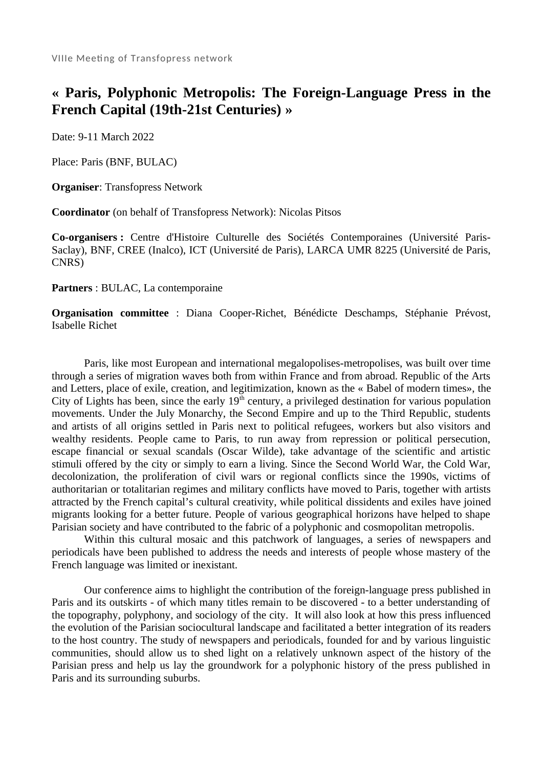## **« Paris, Polyphonic Metropolis: The Foreign-Language Press in the French Capital (19th-21st Centuries) »**

Date: 9-11 March 2022

Place: Paris (BNF, BULAC)

**Organiser**: Transfopress Network

**Coordinator** (on behalf of Transfopress Network): Nicolas Pitsos

**Co-organisers :** Centre d'Histoire Culturelle des Sociétés Contemporaines (Université Paris-Saclay), BNF, CREE (Inalco), ICT (Université de Paris), LARCA UMR 8225 (Université de Paris, CNRS)

**Partners** : BULAC, La contemporaine

**Organisation committee** : Diana Cooper-Richet, Bénédicte Deschamps, Stéphanie Prévost, Isabelle Richet

Paris, like most European and international megalopolises-metropolises, was built over time through a series of migration waves both from within France and from abroad. Republic of the Arts and Letters, place of exile, creation, and legitimization, known as the « Babel of modern times», the City of Lights has been, since the early  $19<sup>th</sup>$  century, a privileged destination for various population movements. Under the July Monarchy, the Second Empire and up to the Third Republic, students and artists of all origins settled in Paris next to political refugees, workers but also visitors and wealthy residents. People came to Paris, to run away from repression or political persecution, escape financial or sexual scandals (Oscar Wilde), take advantage of the scientific and artistic stimuli offered by the city or simply to earn a living. Since the Second World War, the Cold War, decolonization, the proliferation of civil wars or regional conflicts since the 1990s, victims of authoritarian or totalitarian regimes and military conflicts have moved to Paris, together with artists attracted by the French capital's cultural creativity, while political dissidents and exiles have joined migrants looking for a better future. People of various geographical horizons have helped to shape Parisian society and have contributed to the fabric of a polyphonic and cosmopolitan metropolis.

Within this cultural mosaic and this patchwork of languages, a series of newspapers and periodicals have been published to address the needs and interests of people whose mastery of the French language was limited or inexistant.

Our conference aims to highlight the contribution of the foreign-language press published in Paris and its outskirts - of which many titles remain to be discovered - to a better understanding of the topography, polyphony, and sociology of the city. It will also look at how this press influenced the evolution of the Parisian sociocultural landscape and facilitated a better integration of its readers to the host country. The study of newspapers and periodicals, founded for and by various linguistic communities, should allow us to shed light on a relatively unknown aspect of the history of the Parisian press and help us lay the groundwork for a polyphonic history of the press published in Paris and its surrounding suburbs.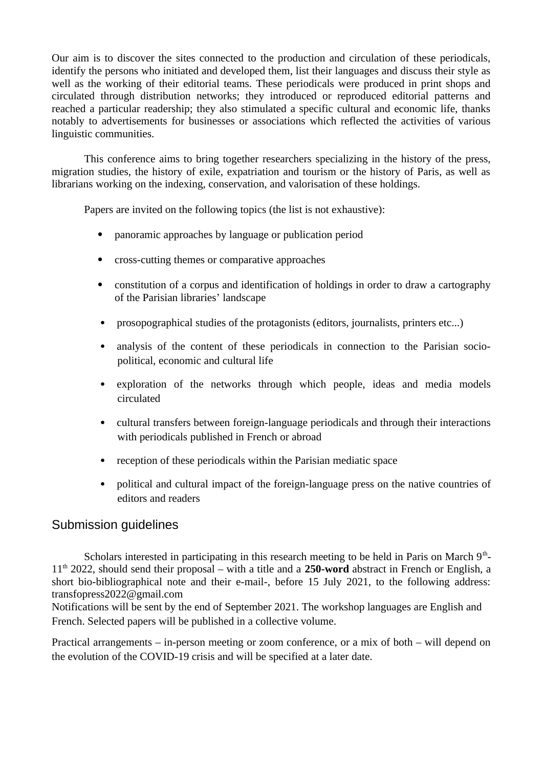Our aim is to discover the sites connected to the production and circulation of these periodicals, identify the persons who initiated and developed them, list their languages and discuss their style as well as the working of their editorial teams. These periodicals were produced in print shops and circulated through distribution networks; they introduced or reproduced editorial patterns and reached a particular readership; they also stimulated a specific cultural and economic life, thanks notably to advertisements for businesses or associations which reflected the activities of various linguistic communities.

This conference aims to bring together researchers specializing in the history of the press, migration studies, the history of exile, expatriation and tourism or the history of Paris, as well as librarians working on the indexing, conservation, and valorisation of these holdings.

Papers are invited on the following topics (the list is not exhaustive):

- panoramic approaches by language or publication period
- cross-cutting themes or comparative approaches
- constitution of a corpus and identification of holdings in order to draw a cartography of the Parisian libraries' landscape
- prosopographical studies of the protagonists (editors, journalists, printers etc...)
- analysis of the content of these periodicals in connection to the Parisian sociopolitical, economic and cultural life
- exploration of the networks through which people, ideas and media models circulated
- cultural transfers between foreign-language periodicals and through their interactions with periodicals published in French or abroad
- reception of these periodicals within the Parisian mediatic space
- political and cultural impact of the foreign-language press on the native countries of editors and readers

## Submission guidelines

Scholars interested in participating in this research meeting to be held in Paris on March  $9<sup>th</sup>$ -11th 2022, should send their proposal – with a title and a **250-word** abstract in French or English, a short bio-bibliographical note and their e-mail-, before 15 July 2021, to the following address: transfopress2022@gmail.com

Notifications will be sent by the end of September 2021. The workshop languages are English and French. Selected papers will be published in a collective volume.

Practical arrangements – in-person meeting or zoom conference, or a mix of both – will depend on the evolution of the COVID-19 crisis and will be specified at a later date.